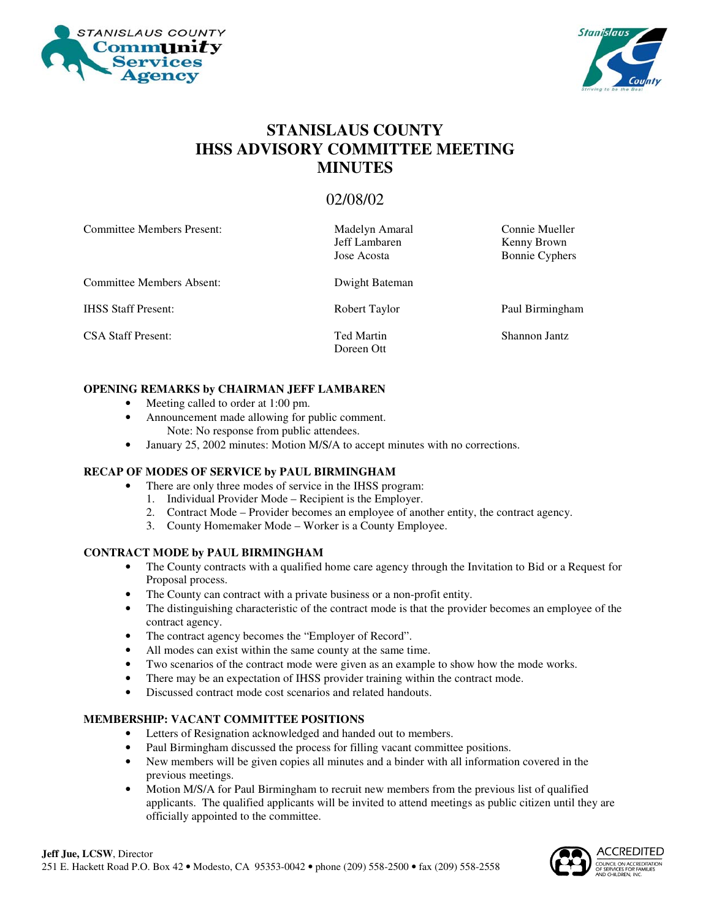



## **STANISLAUS COUNTY IHSS ADVISORY COMMITTEE MEETING MINUTES**

## 02/08/02

| <b>Committee Members Present:</b> | Madelyn Amaral<br>Jeff Lambaren<br>Jose Acosta | Connie Mueller<br>Kenny Brown<br><b>Bonnie Cyphers</b> |
|-----------------------------------|------------------------------------------------|--------------------------------------------------------|
| <b>Committee Members Absent:</b>  | Dwight Bateman                                 |                                                        |
| <b>IHSS Staff Present:</b>        | Robert Taylor                                  | Paul Birmingham                                        |
| <b>CSA Staff Present:</b>         | <b>Ted Martin</b><br>Doreen Ott                | Shannon Jantz                                          |

### **OPENING REMARKS by CHAIRMAN JEFF LAMBAREN**

- Meeting called to order at 1:00 pm.
- Announcement made allowing for public comment. Note: No response from public attendees.
- January 25, 2002 minutes: Motion M/S/A to accept minutes with no corrections.

### **RECAP OF MODES OF SERVICE by PAUL BIRMINGHAM**

- There are only three modes of service in the IHSS program:
	- 1. Individual Provider Mode Recipient is the Employer.
	- 2. Contract Mode Provider becomes an employee of another entity, the contract agency.
	- 3. County Homemaker Mode Worker is a County Employee.

#### **CONTRACT MODE by PAUL BIRMINGHAM**

- The County contracts with a qualified home care agency through the Invitation to Bid or a Request for Proposal process.
- The County can contract with a private business or a non-profit entity.
- The distinguishing characteristic of the contract mode is that the provider becomes an employee of the contract agency.
- The contract agency becomes the "Employer of Record".
- All modes can exist within the same county at the same time.
- Two scenarios of the contract mode were given as an example to show how the mode works.
- There may be an expectation of IHSS provider training within the contract mode.
- Discussed contract mode cost scenarios and related handouts.

#### **MEMBERSHIP: VACANT COMMITTEE POSITIONS**

- Letters of Resignation acknowledged and handed out to members.
- Paul Birmingham discussed the process for filling vacant committee positions.
- New members will be given copies all minutes and a binder with all information covered in the previous meetings.
- Motion M/S/A for Paul Birmingham to recruit new members from the previous list of qualified applicants. The qualified applicants will be invited to attend meetings as public citizen until they are officially appointed to the committee.

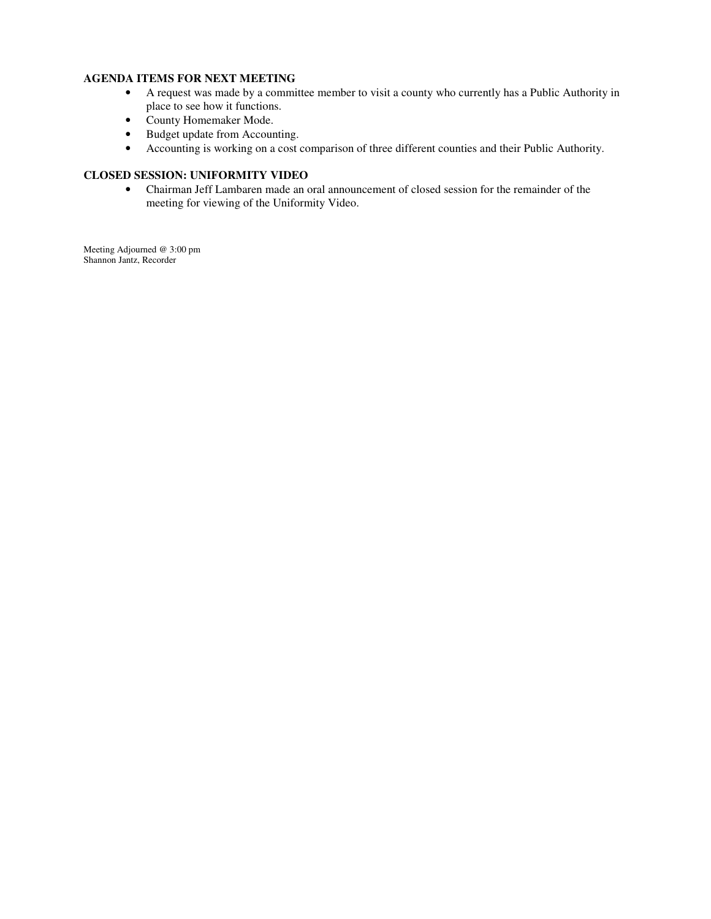#### **AGENDA ITEMS FOR NEXT MEETING**

- A request was made by a committee member to visit a county who currently has a Public Authority in place to see how it functions.
- County Homemaker Mode.
- Budget update from Accounting.
- Accounting is working on a cost comparison of three different counties and their Public Authority.

### **CLOSED SESSION: UNIFORMITY VIDEO**

• Chairman Jeff Lambaren made an oral announcement of closed session for the remainder of the meeting for viewing of the Uniformity Video.

Meeting Adjourned @ 3:00 pm Shannon Jantz, Recorder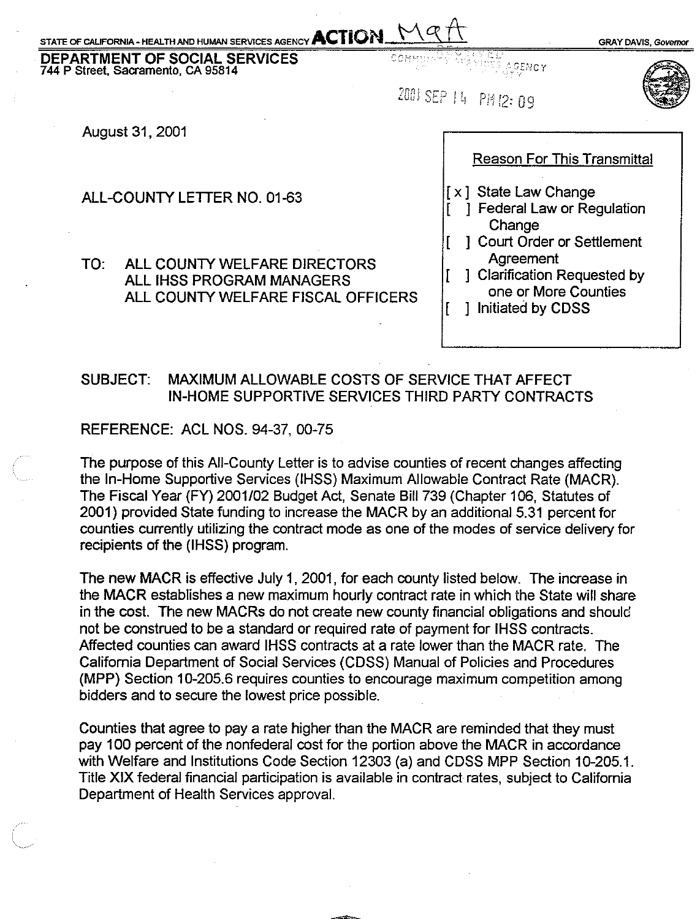ALL COUNTY WELFARE DIRECTORS

ALL COUNTY WELFARE FISCAL OFFICERS

ALL IHSS PROGRAM MANAGERS

**GRAY DAVIS, Governor** 

DEPARTMENT OF SOCIAL SERVICES 744 P Street, Sacramento, CA 95814

ALL-COUNTY LETTER NO. 01-63

A GENCY

2001 SEP 14 PM 12:09

T



**August 31, 2001** 

TO:

**Reason For This Transmittal** 

- [x] State Law Change
	- 1 Federal Law or Regulation Change
	- 1 Court Order or Settlement Agreement
	- ] Clarification Requested by one or More Counties
	- 1 Initiated by CDSS

#### **SUBJECT:** MAXIMUM ALLOWABLE COSTS OF SERVICE THAT AFFECT IN-HOME SUPPORTIVE SERVICES THIRD PARTY CONTRACTS

### **REFERENCE: ACL NOS. 94-37, 00-75**

The purpose of this All-County Letter is to advise counties of recent changes affecting the In-Home Supportive Services (IHSS) Maximum Allowable Contract Rate (MACR). The Fiscal Year (FY) 2001/02 Budget Act, Senate Bill 739 (Chapter 106, Statutes of 2001) provided State funding to increase the MACR by an additional 5.31 percent for counties currently utilizing the contract mode as one of the modes of service delivery for recipients of the (IHSS) program.

The new MACR is effective July 1, 2001, for each county listed below. The increase in the MACR establishes a new maximum hourly contract rate in which the State will share in the cost. The new MACRs do not create new county financial obligations and should not be construed to be a standard or required rate of payment for IHSS contracts. Affected counties can award IHSS contracts at a rate lower than the MACR rate. The California Department of Social Services (CDSS) Manual of Policies and Procedures (MPP) Section 10-205.6 requires counties to encourage maximum competition among bidders and to secure the lowest price possible.

Counties that agree to pay a rate higher than the MACR are reminded that they must pay 100 percent of the nonfederal cost for the portion above the MACR in accordance with Welfare and Institutions Code Section 12303 (a) and CDSS MPP Section 10-205.1. Title XIX federal financial participation is available in contract rates, subject to California Department of Health Services approval.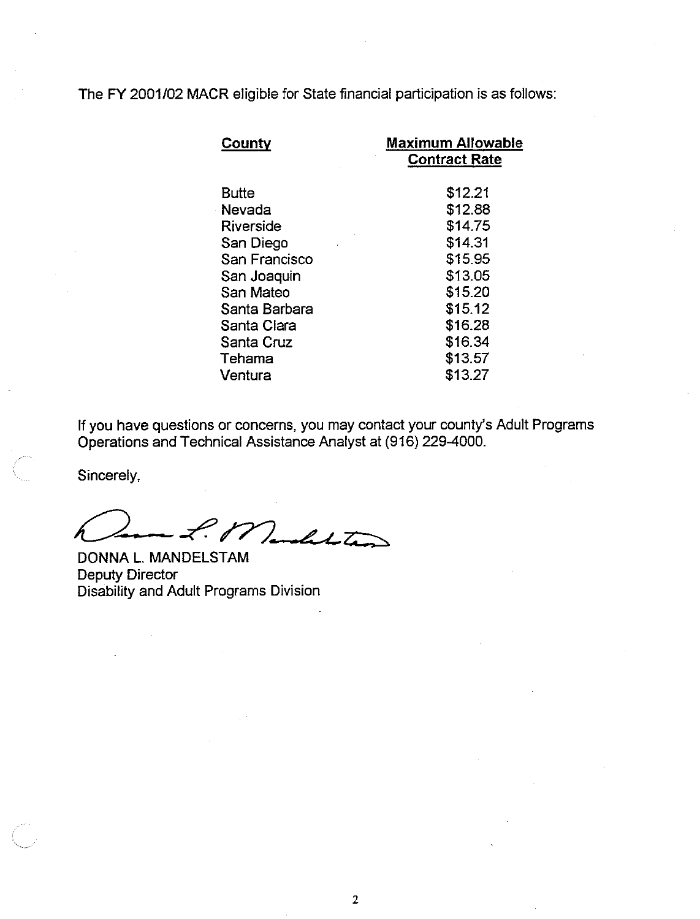The FY 2001/02 MACR eligible for State financial participation is as follows:

| County        | <b>Maximum Allowable</b><br><b>Contract Rate</b> |
|---------------|--------------------------------------------------|
| <b>Butte</b>  | \$12.21                                          |
| Nevada        | \$12.88                                          |
| Riverside     | \$14.75                                          |
| San Diego     | \$14.31                                          |
| San Francisco | \$15.95                                          |
| San Joaquin   | \$13.05                                          |
| San Mateo     | \$15.20                                          |
| Santa Barbara | \$15.12                                          |
| Santa Clara   | \$16.28                                          |
| Santa Cruz    | \$16.34                                          |
| Tehama        | \$13.57                                          |
| Ventura       | \$13.27                                          |

If you have questions or concerns, you may contact your county's Adult Programs Operations and Technical Assistance Analyst at (916) 229-4000.

Sincerely,

2. Mandelston

DONNA L. MANDELSTAM **Deputy Director** Disability and Adult Programs Division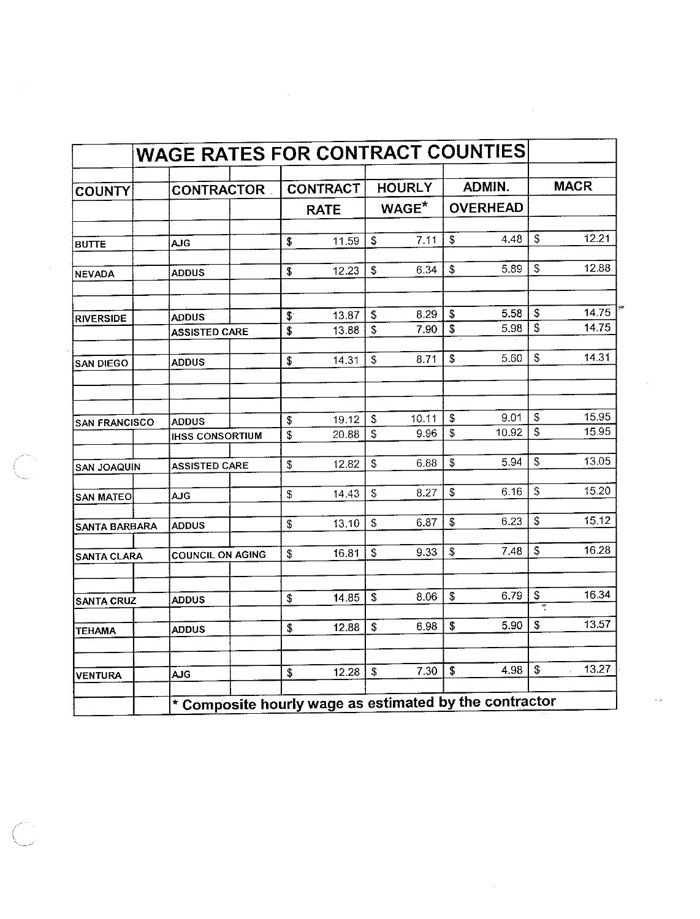| <b>COUNTY</b>        | <b>CONTRACTOR</b>       |                | <b>CONTRACT</b> |                           | <b>HOURLY</b>     |                           | ADMIN.          |                           | <b>MACR</b> |
|----------------------|-------------------------|----------------|-----------------|---------------------------|-------------------|---------------------------|-----------------|---------------------------|-------------|
|                      |                         |                | <b>RATE</b>     |                           | WAGE <sup>*</sup> |                           | <b>OVERHEAD</b> |                           |             |
|                      |                         |                |                 |                           |                   | $\mathbb S$               | 4.48            | $\sqrt{3}$                | 12.21       |
| <b>BUTTE</b>         | AJG.                    | \$             | 11.59           | \$                        | 7.11              |                           |                 |                           |             |
| <b>NEVADA</b>        | <b>ADDUS</b>            | \$             | 12.23           | $\mathbb S$               | 6.34              | $\mathsf{\$}$             | 5.89            | $\mathfrak{L}$            | 12.88       |
| <b>RIVERSIDE</b>     | <b>ADDUS</b>            | $\mathfrak{P}$ | 13.87           | $\mathfrak{F}$            | 8.29              | $\mathsf S$               | 5.58            | $\mathfrak{S}$            | 14.75       |
|                      | <b>ASSISTED CARE</b>    | \$             | 13.88           | $\overline{\mathbf{S}}$   | 7.90              | $\overline{\mathbf{s}}$   | 5.98            | $\overline{\mathbf{S}}$   | 14.75       |
| <b>SAN DIEGO</b>     | <b>ADDUS</b>            | \$             | 14.31           | $\overline{\mathcal{L}}$  | 8.71              | $\mathsf S$               | 5.60            | $\mathbb{S}$              | 14.31       |
|                      |                         |                |                 |                           |                   |                           |                 |                           |             |
| <b>SAN FRANCISCO</b> | <b>ADDUS</b>            | \$             | 19.12           | \$                        | 10.11             | $\boldsymbol{\mathsf{S}}$ | 9.01            | $\mathfrak{s}$            | 15.95       |
|                      | <b>IHSS CONSORTIUM</b>  | \$             | 20.88           | $\overline{\mathfrak{s}}$ | 9.96              | $\overline{\mathfrak{s}}$ | 10.92           | \$                        | 15.95       |
| <b>SAN JOAQUIN</b>   | <b>ASSISTED CARE</b>    | \$             | 12.82           | \$                        | 6.88              | $\overline{\mathbf{S}}$   | 5.94            | \$                        | 13.05       |
| <b>SAN MATEO</b>     | AJG.                    | \$             | 14 43           | \$                        | 8.27              | \$                        | 6.16            | \$                        | 15.20       |
| <b>SANTA BARBARA</b> | <b>ADDUS</b>            | \$             | 13.10           | $\mathbb S$               | 6.87              | $\mathsf S$               | 6.23            | $\mathfrak{S}$            | 15.12       |
| <b>SANTA CLARA</b>   | <b>COUNCIL ON AGING</b> | \$             | 16.81           | $\mathbb S$               | 9.33              | $\mathbb{S}$              | 7.48            | \$                        | 16.28       |
|                      |                         |                |                 | $\overline{\mathbf{S}}$   | 8.06              | $\sqrt{3}$                | 6.79            | $\mathbb{S}$              | 16.34       |
| <b>SANTA CRUZ</b>    | <b>ADDUS</b>            | \$             | 14.85           |                           |                   |                           |                 | त्र                       |             |
| <b>TEHAMA</b>        | <b>ADDUS</b>            | \$             | 12.88           | \$                        | 6.98              | $\overline{\mathbf{S}}$   | 5.90            | $\boldsymbol{\mathsf{s}}$ | 13.57       |
| <b>VENTURA</b>       | AJG.                    | \$             | 12.28           | $\mathfrak{p}$            | $7.30$   \$       |                           | 4.98            | $\boldsymbol{\mathsf{s}}$ | 13.27       |
|                      |                         |                |                 |                           |                   |                           |                 |                           |             |

 $\mathcal{L}^{\mathcal{L}}(\mathcal{L}^{\mathcal{L}})$  and  $\mathcal{L}^{\mathcal{L}}(\mathcal{L}^{\mathcal{L}})$  and  $\mathcal{L}^{\mathcal{L}}(\mathcal{L}^{\mathcal{L}})$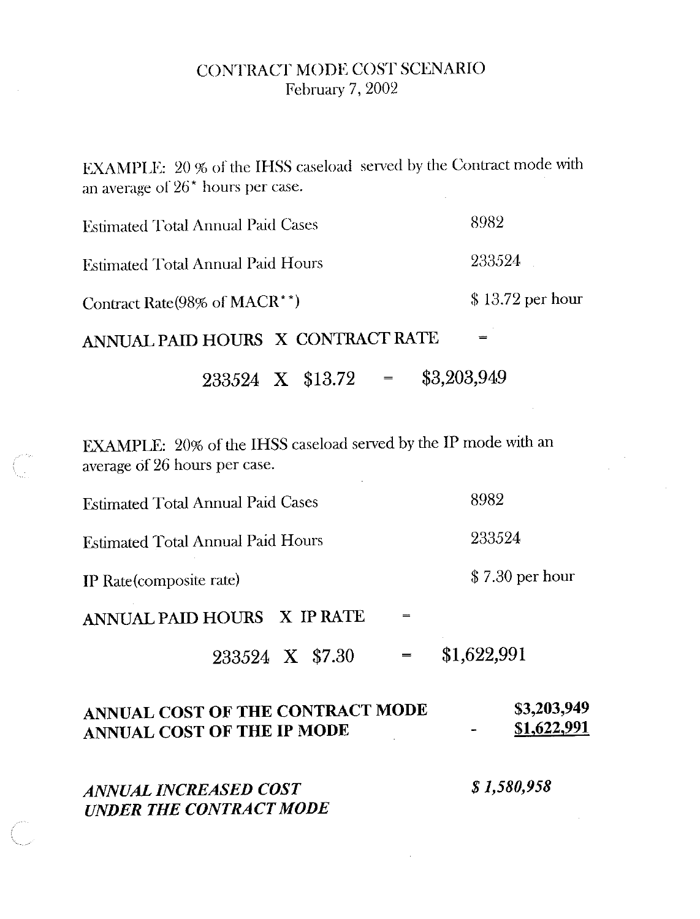# CONTRACT MODE COST SCENARIO February 7, 2002

EXAMPLE: 20 % of the IHSS caseload served by the Contract mode with an average of 26<sup>\*</sup> hours per case.

| <b>Estimated Total Annual Paid Cases</b>  | 8982              |
|-------------------------------------------|-------------------|
| <b>Estimated Total Annual Paid Hours</b>  | 233524            |
| Contract Rate(98% of MACR <sup>**</sup> ) | $$13.72$ per hour |

ANNUAL PAID HOURS X CONTRACT RATE

\$3,203,949 233524 X \$13.72  $\hspace*{0.2em} = \hspace*{0.2em}$ 

EXAMPLE: 20% of the IHSS caseload served by the IP mode with an average of 26 hours per case.

| ANNUAL COST OF THE CONTRACT MODE<br>ANNUAL COST OF THE IP MODE | \$3,203,949<br>\$1,622.991 |
|----------------------------------------------------------------|----------------------------|
| 233524 X \$7.30                                                | \$1,622,991                |
| ANNUAL PAID HOURS X IP RATE                                    |                            |
| IP Rate(composite rate)                                        | $$7.30$ per hour           |
| <b>Estimated Total Annual Paid Hours</b>                       | 233524                     |
| <b>Estimated Total Annual Paid Cases</b>                       | 8982                       |

## **ANNUAL INCREASED COST UNDER THE CONTRACT MODE**

\$1,580,958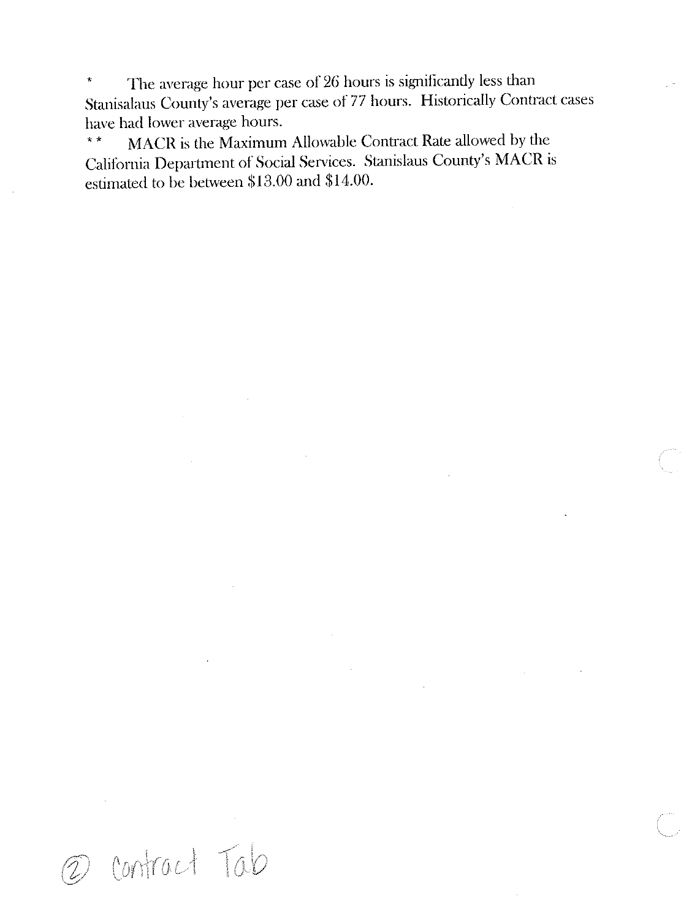The average hour per case of 26 hours is significantly less than  $\star$ Stanisalaus County's average per case of 77 hours. Historically Contract cases have had lower average hours.

 $\sim 10^7$ 

MACR is the Maximum Allowable Contract Rate allowed by the  $\star$   $\star$ California Department of Social Services. Stanislaus County's MACR is estimated to be between \$13.00 and \$14.00.

2 contract Tab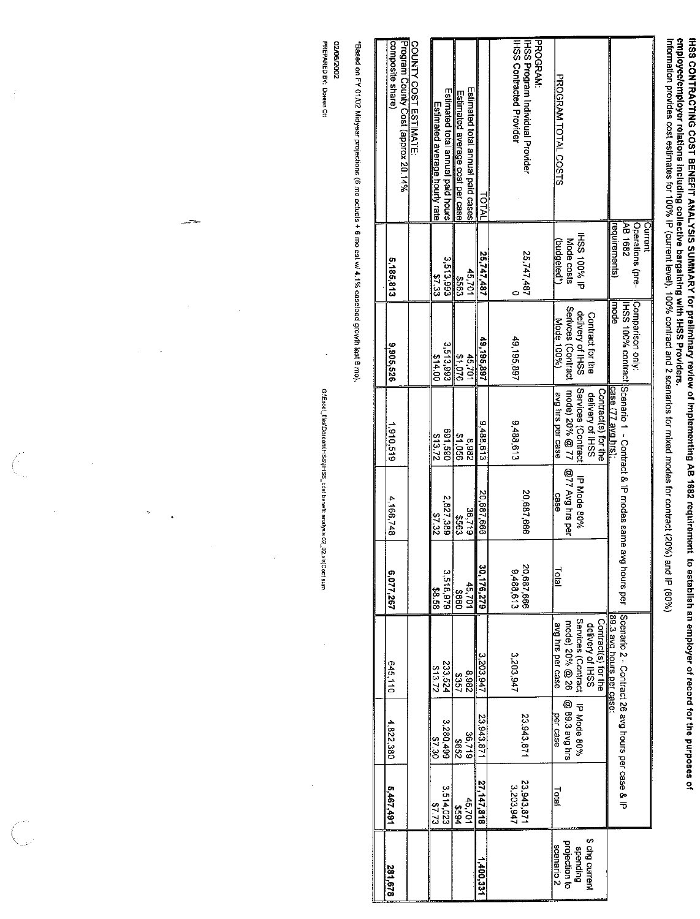IHSS CONTRACTING COST BENEFIT ANALYSIS SUMMARY for preliminary review of implementing AB 1682 requirement to establish an employer of record for the purposes of<br>employeelemployer relations including collective bargaining w

| 281,678                           | 5,467,491               | 4822,380         | 645,110                                                                         | 6.077.267               | 4,166748        | 815'016'                                                                           | 929'908,526                          | 5,185.813                                           | Program County Cost (approx 20.14%<br>composite share)                                |
|-----------------------------------|-------------------------|------------------|---------------------------------------------------------------------------------|-------------------------|-----------------|------------------------------------------------------------------------------------|--------------------------------------|-----------------------------------------------------|---------------------------------------------------------------------------------------|
|                                   |                         |                  |                                                                                 |                         |                 |                                                                                    |                                      |                                                     | COUNTY COST ESTIMATE:                                                                 |
|                                   | \$7.73                  | 08.4\$           | 21372                                                                           | \$8.58                  | 22.32           | \$13.72                                                                            | 00'+1\$                              | \$7.33                                              | Estimated average hourly rate                                                         |
|                                   | 3,514,023               | 3280,499         | 233,524                                                                         | 3,518,979               | 2,827,389       | 065169                                                                             | 3,513,993                            | 3,513,993                                           | Estimated total annual paid hours                                                     |
|                                   | 769\$                   | 299\$            | 19357                                                                           | 099\$                   | <b>8563</b>     | 9901\$                                                                             | $\frac{910^{11}3}{20}$               | <b>C99\$</b>                                        | Estimated average cost per case                                                       |
|                                   | 45,701                  | 36,719           | 286'8                                                                           | 45,701                  | 817.98          | 2869                                                                               | 45,701                               | 45,701                                              | Estimated total annual paid cases                                                     |
| 1,400,331                         | 27,147,818              | 23,943,871       | 3,203,947                                                                       | 10,176,279              | 20,687,666      | 9,488,613                                                                          | 195,85,897                           | 25,747,487                                          | <b>DTAL</b>                                                                           |
|                                   | 23,943,871<br>3,203,947 | 23,943,871       | 3,203,947                                                                       | 20,687,666<br>9,488,613 | 20,687,666      | 9,488,613                                                                          | 49,195,897                           | 25,747,487                                          | <b>PROGRAM</b><br><b>IHSS Contracted Provider</b><br>IHSS Program Individual Provider |
| <b>Scenario 2</b>                 | Lotal                   | per case         | avg hrs per case                                                                | <b>Lata</b>             | case            | avg hrs per case                                                                   |                                      |                                                     |                                                                                       |
| projection to                     |                         | 1 @ 89.3 avg hrs |                                                                                 |                         | @77 Avg hrs per | mode) 20% @ 77                                                                     | Serivces (Contract<br>Mode 100%)     | Mode costs<br>budgeted <sup>1</sup>                 | <b>PROGRAM TOTAL COSTS</b>                                                            |
| \$ chg current<br><b>Spending</b> |                         | P Mode 80%       | Contract(s) for the<br>dilvery of IHSS<br>Services (Contract<br>prode) 20% @ 26 |                         | IP Mode 80%     | Services (Contract<br>Contract(s) for the<br>delivery of IHSS                      | delivery of IHSS<br>Contract for the | HSS 100% iP                                         |                                                                                       |
|                                   |                         |                  |                                                                                 |                         |                 |                                                                                    |                                      |                                                     |                                                                                       |
|                                   |                         |                  | Scenario 2 - Contract 26 avg hours per case & IP<br>89.3 avg hours per case:    | <b>Douts</b> per        |                 | IHSS 100% contract Scenario 1 - Contract & IP modes same avg<br>case (77 avg hrs): | Comparison only<br>mode              | <b>2891 87</b><br>Operations (pre-<br>requirements) |                                                                                       |
|                                   |                         |                  |                                                                                 |                         |                 |                                                                                    |                                      | Current                                             |                                                                                       |

\*Based on FY 01/02 Midyear projections (6 mo actuals + 6 mo est wi 4,1% caseload growth last 6 mo).

02/08/2002

PREPARED BY: Doreen Of

G:tExcel\_files/Doreen/HSS/jHSS\_cost benefit analysis 02\_02.xisjCont sum

 $\overline{\phantom{a}}$ 

 $\ddot{\phantom{a}}$ 

l,

 $\ddot{\phantom{0}}$ 

l.

ł,

 $\ddot{\phantom{0}}$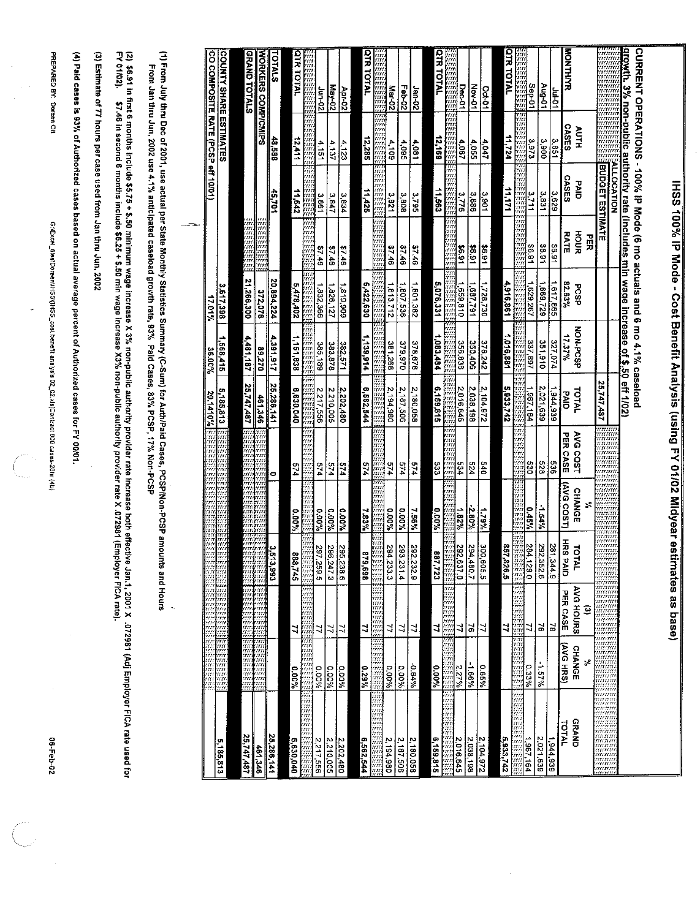| CURRENT OPERATIONS - 100% IP Mode (6 mo actuals and 6 mo 4.1% caseload<br><u>qrowth. 3% non-public authority rate (includes min wage increase of \$.50 eff 1/02</u> |                   |                                           | IHSS 100% IP Mode - Cost Benefit Analysis (using FY 01/02 Midyear estimates as base)                                                     |                |                           |                       |                      |                        |                                                                   |                             |                                        |                                                                                                                                                                                                   |
|---------------------------------------------------------------------------------------------------------------------------------------------------------------------|-------------------|-------------------------------------------|------------------------------------------------------------------------------------------------------------------------------------------|----------------|---------------------------|-----------------------|----------------------|------------------------|-------------------------------------------------------------------|-----------------------------|----------------------------------------|---------------------------------------------------------------------------------------------------------------------------------------------------------------------------------------------------|
|                                                                                                                                                                     |                   | <b>HALLOCATION</b><br>E <u>NLLOCATION</u> |                                                                                                                                          |                |                           |                       |                      |                        |                                                                   |                             |                                        |                                                                                                                                                                                                   |
|                                                                                                                                                                     |                   | <b>BUDGET ESTIMATE</b>                    |                                                                                                                                          |                |                           | 25,747,487            |                      |                        |                                                                   |                             | na antar<br>Amarran<br>maan.<br>aaraan | ana<br>ments.<br>aaaa<br>mmm<br>innen                                                                                                                                                             |
|                                                                                                                                                                     | AUTH              |                                           | HOUR<br><b>HER</b>                                                                                                                       |                |                           |                       |                      | ٠,                     |                                                                   | $\ddot{\circ}$              | $\sim$                                 |                                                                                                                                                                                                   |
| <b>WONTHAR</b>                                                                                                                                                      | <b>CASES</b>      | <b>CASES</b><br><b>DAID</b>               | <b>RATE</b>                                                                                                                              | 82.63%<br>PCSP | <b>NON-PCSP</b><br>17.37% | TOTAL<br>Olvd         | AVG COST<br>PER CASE | AVG COST)<br>CHANGE    | HRS PAID<br>TOTAL                                                 | AVG HOURS<br>PER CASE       | (AVG HRS)<br>CHANGE                    | GRAND<br><b>TOTAL</b>                                                                                                                                                                             |
| ia-o1                                                                                                                                                               | 3,851             | <b>629 S</b>                              | 16.9\$                                                                                                                                   | 1,617,865      | 327,074                   | 944,939               | 969                  |                        |                                                                   | 영                           |                                        | $\frac{1,944,939}{$                                                                                                                                                                               |
| $40-01$                                                                                                                                                             | 3,900             | 3,831                                     | \$6.91                                                                                                                                   | 1,669,729      | 351,910                   | 2021,639              | 528                  | 1.54%                  |                                                                   | l R                         | $96251 -$                              | 2,021,639                                                                                                                                                                                         |
| Sep-01                                                                                                                                                              | 3.973             | 3,711                                     | \$6.91                                                                                                                                   | 1,629.26       | 337.897                   | 1967, 164             | 38                   | 0.45%                  | $\frac{\frac{281,344,9}{282,352,6}}{\frac{284,129,0}{857,826,5}}$ | $\overline{a}$              | 0.33%                                  | 1,967.164                                                                                                                                                                                         |
|                                                                                                                                                                     |                   |                                           | ica<br>Inn                                                                                                                               |                |                           |                       |                      | <b>Fill</b>            |                                                                   |                             | रास<br>संस                             |                                                                                                                                                                                                   |
| <b>OTR TOTAL</b>                                                                                                                                                    | 11,724            | 11.171                                    |                                                                                                                                          | 4,916.861      | 1016,881                  | 5,933,742             |                      |                        |                                                                   | $\frac{\mu}{2}$             |                                        | $\frac{5.55237742}{5.9337742}$                                                                                                                                                                    |
| Dd-01                                                                                                                                                               | 4.047             | 3,901                                     | \$6.91                                                                                                                                   | 1,728,730      | 376.242                   | $\frac{2,104,972}{2}$ | $\frac{1}{5}$        | 7,671                  |                                                                   | N                           |                                        |                                                                                                                                                                                                   |
| Nov 01                                                                                                                                                              | 4,055             | 388.5                                     | \$6.91                                                                                                                                   | 1,687,791      | 350,406                   | 2,038,198             | 524                  | -2.80%                 | 300,605.5<br>294,480.7                                            | a                           | $\frac{1.68h}{h}$<br>89.05%            | 2,038,198<br>2,104.972                                                                                                                                                                            |
| Dec-01                                                                                                                                                              | 1901              | 3776                                      | 16'9\$                                                                                                                                   | 1,659,810      | 356,836                   | 2,016,645             | Þĉ9                  | 1.82%                  |                                                                   | $\mathfrak{r}$              | 2.27%                                  | 2,016.645                                                                                                                                                                                         |
| ESSES                                                                                                                                                               | n<br>Ini<br>ESSEN |                                           | erre<br>Prim                                                                                                                             |                |                           |                       | aa<br>mi<br>aa       | er.<br>Err<br>$0.00\%$ | Free                                                              |                             |                                        |                                                                                                                                                                                                   |
| <b>QTR TOTAL</b>                                                                                                                                                    | 12,169            | 11,563                                    |                                                                                                                                          | 5,076.331      | 1,083,484                 | 6,159,815             | និង                  |                        | 387,72<br>ដ                                                       | 11                          | 0.00%                                  | 6,159.815                                                                                                                                                                                         |
| Jan-02                                                                                                                                                              | 4,081             | 3,795                                     | 37.46                                                                                                                                    | 1,801,382      | 378,676                   | 2,180,058             | 574                  | 7.56%                  | 292,232.9                                                         |                             | $-0.64\%$                              | 2,180.058                                                                                                                                                                                         |
| Feb-02                                                                                                                                                              | 560't             | 3,808                                     | 37.46                                                                                                                                    | 1,807 536      | 379.970                   | 2,187,506             | 574                  | <b>A.00°N</b>          | 293,231.4                                                         | $\frac{11}{7}$              | 0.00%                                  | 2,187,506                                                                                                                                                                                         |
| Mar-02                                                                                                                                                              | 4,109             | 128.2                                     | \$7.46                                                                                                                                   | 1,813712       | 381,268                   | 2,194,980             | 574                  | %00°0                  | 294,233.3                                                         | 4                           | %00 0                                  | 2,194,980                                                                                                                                                                                         |
| illi<br>Initi<br>Initi                                                                                                                                              | m                 | ntt<br>ritt<br>ritt<br>ritt               |                                                                                                                                          |                |                           |                       | ran<br>1921<br>1922  |                        | E                                                                 | and and                     |                                        | nin<br>1991<br>1991 1992<br>1992 1993                                                                                                                                                             |
| <b>OTR TOTAL</b>                                                                                                                                                    | 12,285            | 11,425                                    |                                                                                                                                          | 5,422,630      | 1,139,914                 | 6,562,544             | 574                  | 7.83%                  | 879,613<br>ő                                                      | $\mathbf{z}$                | 0.29%                                  | 6,562,544                                                                                                                                                                                         |
| $\frac{\Delta p \cdot 02}{\Delta p}$                                                                                                                                | $\frac{4.123}{2}$ | 3.834                                     | $\frac{3}{10}$                                                                                                                           | 1.819,909      | 382.571                   | 2,202,480             | 5/4                  | %00°0                  | 295,238<br>¦o.                                                    | $\mathcal{I}$               | 9,00%                                  | 2,202,480                                                                                                                                                                                         |
| May-02                                                                                                                                                              | 4,137             | 3.847                                     | 34.46                                                                                                                                    | 1,826,127      | 383.878                   | 2,210,005             | 574                  | 0.00%                  | 296,247.3                                                         | $\vert$ 2                   | 0.00%                                  | 2,210,005                                                                                                                                                                                         |
| Jun-02                                                                                                                                                              | 4,151             | 198'E                                     | 34.46                                                                                                                                    | 1,832,366      | 385,189                   | 2,217,556             | 574                  | 9,00%                  |                                                                   | 4                           | 0.00%                                  | 2,217 556                                                                                                                                                                                         |
| QTR TOTAL                                                                                                                                                           | 12,411            | 11,542                                    |                                                                                                                                          | 5,478.402      | 1,151,638                 | 6,630,040             | 574                  | 0.00%                  | 297,259.5<br> <br> 888,745<br> 888,745                            | nen<br>Fra<br>$\frac{1}{2}$ | 0.00%                                  | 6,630,040                                                                                                                                                                                         |
| <b>TOTALS</b>                                                                                                                                                       | 48,588            | 45,701                                    |                                                                                                                                          | 20,894.224     | 4,391.917                 | 25,286,141            | ۰                    |                        | 3.513,993                                                         |                             |                                        |                                                                                                                                                                                                   |
| <b>WORKERS COMPICNIPS</b>                                                                                                                                           |                   |                                           |                                                                                                                                          | 372,076        | 89,270                    | 461,346               |                      |                        |                                                                   |                             |                                        | 25,286,141<br>461,346                                                                                                                                                                             |
| <b>GRAND TOTALS</b>                                                                                                                                                 |                   |                                           |                                                                                                                                          | 21,266,300     | 4,481,187                 | 25,747,487            |                      |                        |                                                                   | m                           |                                        |                                                                                                                                                                                                   |
|                                                                                                                                                                     |                   |                                           |                                                                                                                                          |                |                           |                       |                      |                        |                                                                   |                             |                                        | 25,747,487                                                                                                                                                                                        |
| <b>COUNTY SHARE ESTIMATES</b>                                                                                                                                       |                   |                                           |                                                                                                                                          | 3,617,398      | 1,568.415                 | 5,185,813             |                      |                        |                                                                   |                             | nin.<br>Tan<br>an<br>1933<br>1933      | 5,185,813                                                                                                                                                                                         |
| CO COMPOSITE RATE (PCSP                                                                                                                                             |                   | eff 10/01)                                |                                                                                                                                          | 17.01%         | 35.00%                    | 20.1410%              |                      |                        |                                                                   |                             |                                        |                                                                                                                                                                                                   |
|                                                                                                                                                                     |                   |                                           |                                                                                                                                          |                |                           |                       |                      |                        |                                                                   |                             |                                        |                                                                                                                                                                                                   |
| (1) From July thru Dec of 2001, use actual per State Monthly Statistics Summary (C-Sum) for AuthiPaid Cases, PCSP/Non-PCSP amounts                                  |                   |                                           | From Jan thru Jun, 2002 use 4.1% anticipated caseload growth rate, 93% Paid Cases, 83% PCSP, 17% Non-PCSP                                |                |                           |                       |                      |                        |                                                                   | and Hours                   |                                        |                                                                                                                                                                                                   |
| FY 01/02)                                                                                                                                                           |                   |                                           | \$7.46 in second 6 months include \$6.25 + \$.50 min wage increase X3% non-public authority provider rate X.072981 (Employer FICA rate). |                |                           |                       |                      |                        |                                                                   |                             |                                        | (2) \$6.91 in first 6 months include \$5.75 + \$.50 minimum wage increase X 3% non-public authority provider rate increase both effective Jan.1, 2001 X . 072981 (Adj Employer FICA rate used for |
| (3) Estimate of 77 hours per case used from Jan thru Jun, 2002                                                                                                      |                   |                                           |                                                                                                                                          |                |                           |                       |                      |                        |                                                                   |                             |                                        |                                                                                                                                                                                                   |
| (4) Paid cases is 93% of Authorized cases based on actual average percent of Authorized cases for FY 00/01.                                                         |                   |                                           |                                                                                                                                          |                |                           |                       |                      |                        |                                                                   |                             |                                        |                                                                                                                                                                                                   |
|                                                                                                                                                                     |                   |                                           |                                                                                                                                          |                |                           |                       |                      |                        |                                                                   |                             |                                        |                                                                                                                                                                                                   |

06-Feb-02

G:\Excel\_files\Dorean\HSS\(HSS\_cost benefit analysis 02\_02.xls|Contract 800 cases-26hr (4b)

PREPARED BY: Donen Ott

 $\frac{1}{2}$ 

 $\ddot{\phantom{0}}$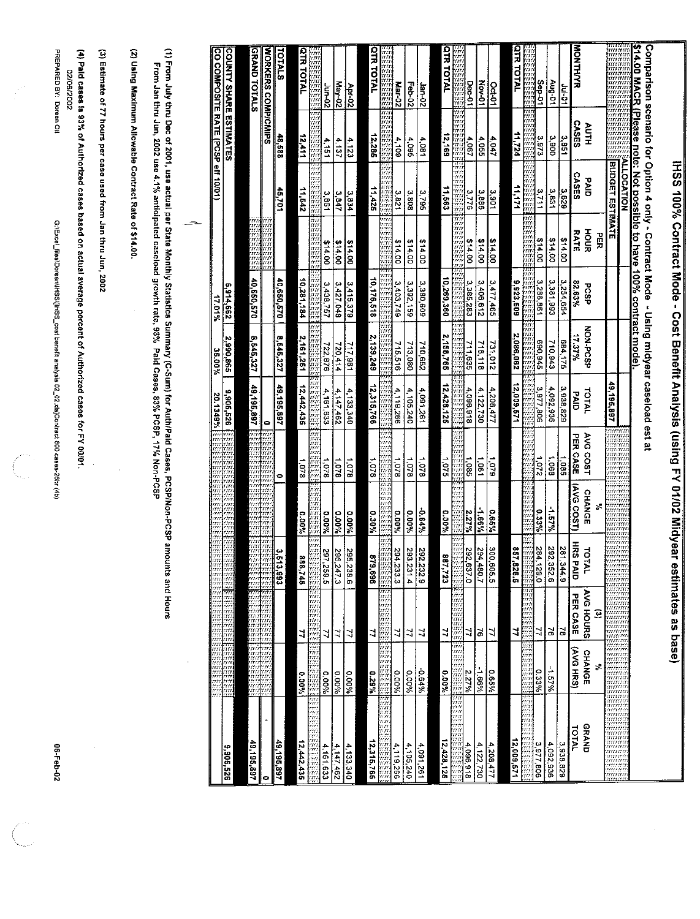| 9,905,526                                           |                                                 |                                                                                            |                                           |                                |                              | 30.1349%               | 36.00%          | 17.01%      |                                                      |                                                   |                                     | CO COMPOSITE RATE (PCSP eff 10/01)                                                                                                                           |
|-----------------------------------------------------|-------------------------------------------------|--------------------------------------------------------------------------------------------|-------------------------------------------|--------------------------------|------------------------------|------------------------|-----------------|-------------|------------------------------------------------------|---------------------------------------------------|-------------------------------------|--------------------------------------------------------------------------------------------------------------------------------------------------------------|
|                                                     |                                                 | er e<br>m                                                                                  |                                           |                                |                              | 9,905.526              | 2,990,865       | 6,914.662   |                                                      |                                                   |                                     | <b>COUNTY SHARE ESTIMATES</b>                                                                                                                                |
| 49,195,897                                          |                                                 |                                                                                            |                                           |                                |                              | 49,195,897             | 8,545,327       | 40,650,570  | rri<br>'rri                                          |                                                   |                                     | <b>GRAND TOTALS</b>                                                                                                                                          |
| $\bullet$                                           | Tiin<br>Tirri                                   | rm r                                                                                       |                                           |                                |                              | $\bullet$              |                 |             |                                                      |                                                   |                                     | <b>WORKERS COMP/CMIPS</b>                                                                                                                                    |
| 49,195,897                                          |                                                 |                                                                                            | $\frac{3.5}{13}$<br>$ \mathbf{\ddot{s}} $ |                                | 0                            | 49,195,897             | 8,545,327       | 40,650,570  |                                                      | $\frac{45,701}{1}$                                | 48,588                              | <b>TOTALS</b>                                                                                                                                                |
| 12,442,435                                          | 0.00%                                           | 4                                                                                          | $\frac{88}{3}$<br>37.48                   | %00'0                          | $\frac{1}{3}$                | 12,442,435             | 2,161,261       | 10,281,184  |                                                      | 11,542                                            | 12,411                              | <b>QTR TOTAL</b>                                                                                                                                             |
|                                                     |                                                 | na<br>m<br>itti<br>itti<br>t                                                               | iii                                       |                                | rrri<br>rrsi<br>rrsi<br>rrsi |                        |                 |             | י היו זיין<br>זיין זיין<br>זיין זיין<br>זיין<br>זיין |                                                   | inn<br>Ma                           |                                                                                                                                                              |
| 4, 161, 633                                         | <b>0.00%</b>                                    | 7                                                                                          | 297 25<br>3.9.5                           | %00'0                          | 1,078                        | 4,161,633              | 722 876         | 3,438.757   | 214.00                                               | 3.861                                             | 4,151                               | <b>20-unr</b>                                                                                                                                                |
| 4,147,462                                           | 0.00%                                           |                                                                                            | 2962<br>47.3                              | <b>0.00%</b>                   | 870.1                        | 4,147,462              | 720.414         | 3,427,048   | \$14.00                                              | 3,847                                             | 4,137                               | May-02                                                                                                                                                       |
| 4,133,340                                           | 0.00%                                           | $\frac{11}{2}$                                                                             | 295.2<br>38.6                             | 0.00%                          | 1.078                        | 4, 133, 340            | 717.981         | 3,415,379   | 214.00                                               | 3,834                                             | 4,123                               | Apr-02                                                                                                                                                       |
|                                                     |                                                 |                                                                                            |                                           |                                |                              |                        |                 |             |                                                      |                                                   |                                     |                                                                                                                                                              |
| 12,315,766                                          | 0.29%                                           | 11                                                                                         | 879,698                                   | 7,000                          | 870,1                        | 12,315,766             | 2,139,249       | 10,176,518  |                                                      | 11,425                                            | 12,285                              | <b>QTR TOTAL</b>                                                                                                                                             |
| nn<br>hin<br>hin<br>hin<br>hin<br>hin<br>hin<br>hin |                                                 | ימוז<br>אמו אומו<br>אמו אינו אומו<br>אמו אומו                                              |                                           | tiri<br>trr<br>ren<br>mn<br>mn |                              |                        |                 |             |                                                      | inai<br>1991<br>1991<br>1991                      | nn<br>Mi<br>m<br>nn<br>1991<br>1991 | need<br>Aree<br>Aree<br>Aree                                                                                                                                 |
| $\frac{4.119}{266}$                                 | 0.00%                                           | ₹                                                                                          | 294,22<br>33.3                            | 0.00%                          | 3201                         | 4,119,266              | 715,516         | 3,403,749   | 00771\$                                              | 128.2                                             | $\frac{1}{2}$                       | Mar-02                                                                                                                                                       |
| 4,105,240                                           | 9600                                            | $\overline{z}$                                                                             | 293.23<br>$rac{31.4}{ }$                  | 7,00°                          | $\frac{1}{9}$                | 4,105,240              | 713,080         | 3,392.159   | \$14.00                                              | 3.808                                             | \$,095                              | Feb-02                                                                                                                                                       |
| 4,091,261                                           | -0.64%                                          | $\mathcal{I}$                                                                              | 292.23<br> ಜ<br>                          | $-0.64\%$                      | 8201                         | 4,091,261              | 710,652         | 3,380,609   | \$14.00                                              | 3 795                                             | 4,0P1                               | Jan-02                                                                                                                                                       |
|                                                     |                                                 |                                                                                            |                                           |                                |                              |                        |                 |             |                                                      |                                                   |                                     |                                                                                                                                                              |
| 12,428,125                                          | 0.00%                                           | 11                                                                                         | 887,723                                   | 0.00%                          | 1075                         | 12,428,126             | 2,158,765       | 10,269,360  |                                                      | 11.563                                            | 12,169                              | <b>QTR TOTAL</b>                                                                                                                                             |
| 4,096,918                                           | 2.27%                                           |                                                                                            | 292,637.0                                 | 2.27%                          | \$80.1                       | 4,096,918              | 711,635         | 3,385,283   | ne.<br>\$14,00                                       | 3776<br>rrr<br>ffr<br>ffr                         | rrr.<br>4,067                       | Dec-01<br>nn<br>1111<br>nı.                                                                                                                                  |
| 4,122,730                                           | %99'1-                                          | 식일                                                                                         | 294,480.7                                 | -1.66%                         | 1,80,1                       | 4, 122, 730            | 716,118         | 3,406,612   | 00'4'8                                               | 3,886                                             | 4,055                               | <b>Nov-01</b>                                                                                                                                                |
| 4,208,477                                           | 0.65%                                           | 7                                                                                          | 300,605.5                                 | $9,65\%$                       | 6201                         | 4,208,477              | 731,012         | 3,477,465   | $rac{14.00}{5}$                                      | 106'E                                             | 4.047                               | <b>Oct-01</b>                                                                                                                                                |
|                                                     |                                                 |                                                                                            |                                           |                                |                              |                        |                 |             |                                                      |                                                   |                                     |                                                                                                                                                              |
| 2,009,571                                           |                                                 | E.<br>$\vert$                                                                              | 8°928'198<br>Référéncie                   | i<br>Eliopolita<br>Eliopolita  |                              | 12,009,571             | 2,086,062       | 9,923,509   |                                                      | $\frac{11,171}{11}$                               | 11,724                              | <b>QTR TOTAL</b>                                                                                                                                             |
| 3,977,806                                           | 0.33%                                           |                                                                                            | 開講院                                       | 0.33%                          |                              |                        | 590,945         | 3,286,861   | F                                                    | <b>ESSER</b>                                      | m                                   |                                                                                                                                                              |
| $\frac{4.092, 936}{$                                | -1.57%                                          | 긔명                                                                                         | 284,129.0<br>292.352.6                    | 1.57%                          | 2201<br>1,088                | 3,977,806<br>4,092,936 | 710,943         | 3,381,993   | 00713<br>00145                                       | 3.711<br>3831                                     | 3.900<br>3973                       | Sep-01<br>$10-8nV$                                                                                                                                           |
| 3938,829                                            |                                                 | ್ನ                                                                                         | 281,344.9                                 |                                | <b>1,086</b>                 | 3,938,829              | 684,175         | 3,254,654   | 214.00                                               | 3.529                                             | 3851                                | 19-17                                                                                                                                                        |
| TOTAL                                               | (AVG HRS)                                       | PER CASE                                                                                   | <b>HRSPAID</b>                            | <b>(AVG COST)</b>              | <b>PER CASE</b>              |                        |                 |             |                                                      |                                                   |                                     |                                                                                                                                                              |
| GRAND                                               | CHANGE                                          | AVG HOURS                                                                                  | TOTAL                                     | CHANGE                         | AVG COST                     | TOTAL<br>a<br>G        | 17.37%          | 82.63%      | <b>RATE</b>                                          | <b>GASES</b>                                      | CASES                               | <b>RONTHAR</b>                                                                                                                                               |
|                                                     | ৯ঁ                                              | $\tilde{\boldsymbol{\omega}}$                                                              |                                           | ×,                             |                              |                        | <b>NON-PCSP</b> | <b>PCSP</b> | HOUR<br>PER                                          | a<br>ND                                           | AUTH                                |                                                                                                                                                              |
| aarraa<br>www.<br>anann<br>anann                    | mmm<br>nan an<br>Tanàna<br>inana<br>mana<br>man | mmn<br>atricrit.                                                                           |                                           |                                | aranga<br>ining<br>mm        | 49,195,897             |                 |             |                                                      | <b>BUDGET ESTIMATE</b>                            |                                     |                                                                                                                                                              |
|                                                     |                                                 |                                                                                            |                                           |                                | rm<br>m                      |                        |                 |             |                                                      | <b>MANUOLANDISE</b><br>MANUOLANDIN<br>MANUOLANDIN |                                     |                                                                                                                                                              |
|                                                     |                                                 |                                                                                            |                                           |                                |                              |                        |                 |             |                                                      |                                                   |                                     | \$14.00 MACR (Please note: Not possible to have 100% contract mode)<br>Comparison scenario for Option 4 only - Contract Mode - Using midyear caseload est at |
|                                                     |                                                 |                                                                                            |                                           |                                |                              |                        |                 |             |                                                      |                                                   |                                     |                                                                                                                                                              |
|                                                     |                                                 | IHSS 100% Contract Mode - Cost Benefit Analysis (using FY 01/02 Midyear estimates as base) |                                           |                                |                              |                        |                 |             |                                                      |                                                   |                                     |                                                                                                                                                              |
|                                                     |                                                 |                                                                                            |                                           |                                |                              |                        |                 |             |                                                      |                                                   |                                     |                                                                                                                                                              |

06-Feb-02

 $\left(\begin{matrix} 1 & 1 \\ 1 & 1 \end{matrix}\right)$ 

 $\binom{m}{k}$ 

02/06/2002<br>РЯЕРАRЕD ВҮ: Doreen Otl

G:\Excel\_files\Doreen\HSS\(IHSS\_cost benefit analysis 02\_02.xls)Contract 800 cases-26hr (4b)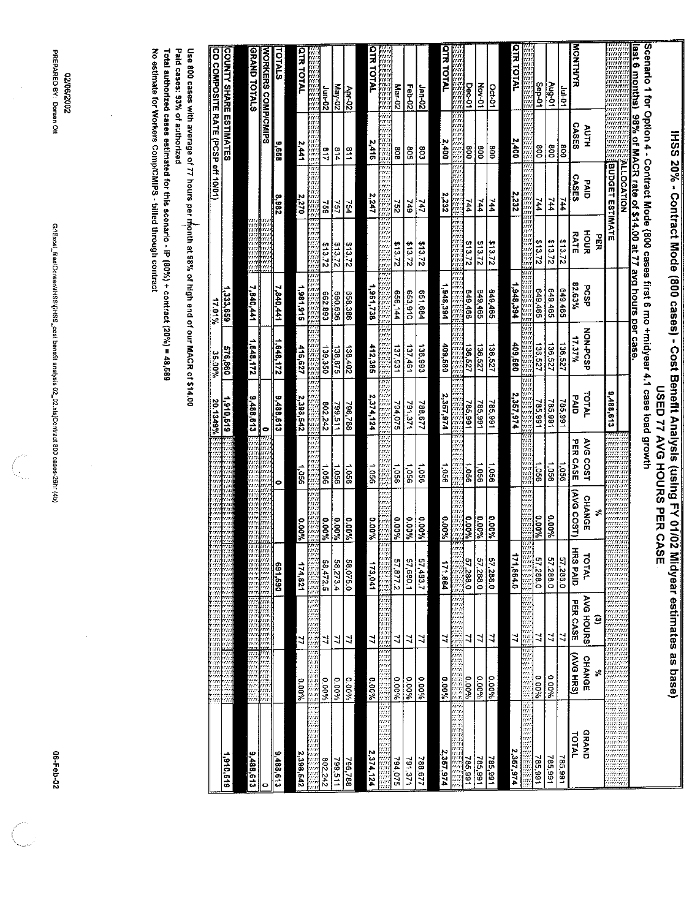|                                                                                                                                                                                                                                                                 |                                 |                    |                     |                                    |                           | IHSS 20% - Contract Mode (800 cases) - Cost Benefit Analysis (using FY 01/02 Midy | USED 77 AVG HOURS PER CASE                                      |                                 |                                           | /ear estimates as base)                 |                                                                                   |                                                                                                                                                                                                                                              |
|-----------------------------------------------------------------------------------------------------------------------------------------------------------------------------------------------------------------------------------------------------------------|---------------------------------|--------------------|---------------------|------------------------------------|---------------------------|-----------------------------------------------------------------------------------|-----------------------------------------------------------------|---------------------------------|-------------------------------------------|-----------------------------------------|-----------------------------------------------------------------------------------|----------------------------------------------------------------------------------------------------------------------------------------------------------------------------------------------------------------------------------------------|
| Scenario 1 for Option 4 - Contract Mode (800 cases first 6 mo +midyear 4.1 case load growth<br>last 6 months). 98% of MACR rate of \$14.00 at 77 avg hours per case                                                                                             |                                 |                    |                     |                                    |                           |                                                                                   |                                                                 |                                 |                                           |                                         |                                                                                   |                                                                                                                                                                                                                                              |
|                                                                                                                                                                                                                                                                 |                                 | <b>ALLOCATION</b>  |                     |                                    |                           |                                                                                   |                                                                 |                                 |                                           |                                         |                                                                                   |                                                                                                                                                                                                                                              |
|                                                                                                                                                                                                                                                                 |                                 | BUDGET ESTIMATE    |                     |                                    |                           | 9,488,613                                                                         | ennin<br>enning<br>mmmm<br>mmm<br>arrerera<br>errerera<br>meren | nmm<br>arraren<br>mmm.<br>nnn.  | rrerrre<br>nija<br>min<br>retrrett        | muntu.<br>enara<br>emarar<br>emarar     | rances<br>cantes<br>cantes<br>cantes<br>cantes<br>cantes<br>aana<br>ania<br>anton | rennen<br>mmm<br>aaraan<br>$\begin{array}{c} \textit{constant} \\ \textit{constant} \\ \textit{invariant} \\ \textit{invariant} \\ \textit{invariant} \\ \textit{invariant} \end{array}$<br>minini<br>minini<br><b>kritister</b><br>Kennenni |
|                                                                                                                                                                                                                                                                 |                                 |                    | 品                   |                                    |                           |                                                                                   |                                                                 | వి                              |                                           | $\ddot{e}$                              | s,                                                                                |                                                                                                                                                                                                                                              |
| MONTHYR                                                                                                                                                                                                                                                         | CASES<br><b>ATH</b>             | CASES<br>DAID      | HOUR<br><b>RATE</b> | 82.63%<br>PCSP                     | <b>NON-PCSP</b><br>17.37% | <b>TOTAL</b><br><b>PAID</b>                                                       | AVG COST<br>PER CASE                                            | (AVG COST)<br>CHANGE            | <b>HRSP</b><br>TOTAL<br>름                 | AVG HOURS<br><b>PER CASE</b>            | (AVG HRS)<br>CHANGE                                                               | <b>GRAND</b><br><b>TOTAL</b>                                                                                                                                                                                                                 |
| $\frac{10-10}{10}$                                                                                                                                                                                                                                              | 18                              | 744                | \$13.72             |                                    | 136.527                   | 785,991                                                                           |                                                                 |                                 | 57,288.0                                  | 4                                       |                                                                                   | 785,991                                                                                                                                                                                                                                      |
| $\frac{10-5i}{10}$                                                                                                                                                                                                                                              | 800                             | 144                | \$13.72             | 649,465                            | 136.527                   | 785,991                                                                           | 1,056                                                           | 9/200.6                         | 57,28<br>0.88                             | $\frac{1}{2}$                           | $rac{1}{25000}$                                                                   | 185.991                                                                                                                                                                                                                                      |
| Sep-01                                                                                                                                                                                                                                                          | $\frac{8}{3}$                   | $\frac{1}{2}$      | 213.72              | 649,465                            | 136.527                   | 166'98.                                                                           | 9901                                                            | <b>1,00°</b>                    | 57,288.0                                  | ٦,                                      | $0.00\%$                                                                          | 185,991                                                                                                                                                                                                                                      |
| rm                                                                                                                                                                                                                                                              |                                 |                    |                     |                                    |                           |                                                                                   |                                                                 |                                 |                                           | en<br>En 1                              |                                                                                   |                                                                                                                                                                                                                                              |
| <b>QTR TOTAL</b>                                                                                                                                                                                                                                                | s,400                           | 2,232              |                     | 1,948,394                          | 409,580                   | 2,357,974                                                                         |                                                                 |                                 | 171,884.0<br> -<br> -                     | $\overline{11}$                         |                                                                                   | 2,357,974                                                                                                                                                                                                                                    |
| Oct-01                                                                                                                                                                                                                                                          | 800                             | 144                | \$13.72             | 649,465                            | 136,527                   | 785,991                                                                           | 950'                                                            | 0.00%                           | 57,288.0                                  |                                         | 0.00%                                                                             | 785,991                                                                                                                                                                                                                                      |
| Nov-01                                                                                                                                                                                                                                                          | $\overline{500}$                | 744                | \$13.72             | 649,465                            | 136,527                   | 785,991                                                                           | 1,056                                                           | 9%00'0                          | 57,288.0                                  | 기년                                      | 0.00%                                                                             | 785.991                                                                                                                                                                                                                                      |
| Dec-01                                                                                                                                                                                                                                                          | 800                             | 744                | \$13.72             | 649,465                            | 136,527                   | 785,991                                                                           | 9501                                                            | 0.00%                           | 57,288.0                                  | 7                                       | 0.00%                                                                             | 785.991                                                                                                                                                                                                                                      |
| ini<br>1111                                                                                                                                                                                                                                                     | ini<br>Lin<br>źŕ,<br>en<br>1991 | erer<br>Efter      |                     | rrrr<br>enn<br>111                 |                           |                                                                                   | min<br>Mil<br>Mil<br>Mil                                        | יונוז<br>זינוז<br>זינוי<br>rrs) | nee<br>See<br>inn.<br>1975                | ini<br>stri<br>stri<br>ana.<br>Pres     | krrs<br>na<br>aa<br>aa                                                            | rrr<br>rrr                                                                                                                                                                                                                                   |
| <b>TR TOTAL</b>                                                                                                                                                                                                                                                 | 2,400                           | 2,232              |                     | 1,948.394                          | 409.580                   | 2,357,974                                                                         | 990'L                                                           | 0.00%                           | $\overline{111}$<br>864                   | 4                                       | 0.00%                                                                             | 2,357,974                                                                                                                                                                                                                                    |
| Jan-02                                                                                                                                                                                                                                                          | 803                             | 247                | \$13.72             | 551,684                            | 136,993                   | 788,677                                                                           | 390;                                                            | $\frac{9}{6000}$                | 57,483.7                                  | ב                                       | $0.00\%$                                                                          | 788.677                                                                                                                                                                                                                                      |
| Feb-02                                                                                                                                                                                                                                                          | SO <sub>S</sub>                 | $\overline{3}$     | \$13.72             | 016'09                             | 137,461                   | 791,371                                                                           | 9501                                                            | %00'0                           | 57,680.1                                  | z                                       | 9,00.0                                                                            | 791,371                                                                                                                                                                                                                                      |
| Mar-02                                                                                                                                                                                                                                                          | 8cg                             | 237                | \$13.72             | 656,144                            | 137,931                   | 794,0.75                                                                          | 990'L                                                           | $0.00\%$                        | 3.75<br>$\frac{77}{2}$                    | ₹                                       | 9600'0                                                                            | 794,075                                                                                                                                                                                                                                      |
| <b>QTR TOTAL</b><br>ini<br>Imir<br>Imir<br>ini<br>Imi                                                                                                                                                                                                           | 2,416<br>rrrr<br>rrrr           | 2,247              | nan<br>Kan          | ,961,738<br>n<br>m<br>rm<br>m<br>m | 412,385                   | 2,374,124<br>reer<br>Etter                                                        | $rac{1}{350}$                                                   | film<br>Sidney<br>0.00%         | 473<br>rser<br>Fre<br>541<br>eiri<br>Fran | 4                                       | 0.00%                                                                             | 2,374,124                                                                                                                                                                                                                                    |
|                                                                                                                                                                                                                                                                 |                                 |                    |                     |                                    |                           |                                                                                   |                                                                 |                                 |                                           |                                         |                                                                                   |                                                                                                                                                                                                                                              |
| Apr-02                                                                                                                                                                                                                                                          | 118                             | 754                | \$13.72             | 658,386                            | 138,402                   | 796,788                                                                           | 1,056                                                           | 9.00%                           | 58,075.0                                  | $\mathbf{7}$                            | 0.00%                                                                             | 796,788                                                                                                                                                                                                                                      |
| May-02                                                                                                                                                                                                                                                          | 614                             | 151                | \$13.72             | 60.636                             | 138.875                   | 799,511                                                                           | 1,0.56                                                          | $\frac{1}{2000}$                | 58,2734                                   | $\frac{1}{2}$<br>7                      | 0.00%                                                                             | 799,511                                                                                                                                                                                                                                      |
| <b>Jun-02</b>                                                                                                                                                                                                                                                   | Γń<br>212<br>iin<br>111         | ESSEN<br><b>GS</b> | 21372               | 662,893                            | 139,350<br><b>RESERVE</b> | 242,242                                                                           | 1.056<br><b>ESSER</b>                                           | ESSE<br>%00°0                   | 58,4725<br>E                              | 13333333333                             | 3333333333<br>0.00%                                                               | 302,242                                                                                                                                                                                                                                      |
| <b>QTR TOTAL</b>                                                                                                                                                                                                                                                | 2,441                           | 2,270              |                     | 1,981,915                          | 416,627                   | 2,398,542                                                                         | 950'l                                                           | 0.00%                           | 77<br>128'                                | 4                                       | 0.00%                                                                             | ELLEREN.<br>2,398,542                                                                                                                                                                                                                        |
| <b>TOTALS</b>                                                                                                                                                                                                                                                   | 8'99'5                          | $\frac{88}{185}$   |                     | 7,840,441                          | $\frac{1,648,172}{1}$     | $\frac{9,488,613}{2}$                                                             | 0                                                               |                                 | င္ဗ                                       |                                         |                                                                                   | 9.488, 613                                                                                                                                                                                                                                   |
| <b>WORKERS COMP/CMIPS</b>                                                                                                                                                                                                                                       |                                 |                    |                     |                                    |                           | 0                                                                                 |                                                                 |                                 |                                           |                                         |                                                                                   | Ξ                                                                                                                                                                                                                                            |
| <b>GRAND TOTALS</b>                                                                                                                                                                                                                                             |                                 |                    |                     | 7,840,441                          | 1,648,172                 | 9,488,613                                                                         | urrer                                                           |                                 |                                           | na antara<br>1999: Anton<br>1999: Anton | art.<br>Art<br><b>Free</b>                                                        | 9,488,613                                                                                                                                                                                                                                    |
|                                                                                                                                                                                                                                                                 |                                 |                    |                     |                                    |                           |                                                                                   |                                                                 |                                 |                                           |                                         |                                                                                   |                                                                                                                                                                                                                                              |
| <b>COUNTY SHARE ESTIMATES</b>                                                                                                                                                                                                                                   |                                 |                    |                     | 1,333,659                          | 576,860                   | 1,910,519                                                                         |                                                                 |                                 | fres.                                     |                                         | rrrr                                                                              | 1,910,519                                                                                                                                                                                                                                    |
| CO COMPOSITE RATE (PCSP eff 10/01)                                                                                                                                                                                                                              |                                 |                    |                     | $17.01\%$                          | 35.00%                    | 20.1349%                                                                          |                                                                 |                                 |                                           |                                         |                                                                                   |                                                                                                                                                                                                                                              |
| Paid cases: 93% of authorized<br>Total authorized cases estimated for this scenario - IP $(80\%) + \text{co}(\text{tanh}(\textbf{20}^{\prime\prime})) = 48,589$<br>Use 800 cases with average of 77 hours per rifonth at 98% of high end of our MACR of \$14.00 |                                 |                    |                     |                                    |                           |                                                                                   |                                                                 |                                 |                                           |                                         |                                                                                   |                                                                                                                                                                                                                                              |
| No estimate for Workers Comp/CMIPS - billed through contract                                                                                                                                                                                                    |                                 |                    |                     |                                    |                           |                                                                                   |                                                                 |                                 |                                           |                                         |                                                                                   |                                                                                                                                                                                                                                              |
|                                                                                                                                                                                                                                                                 |                                 |                    |                     |                                    |                           |                                                                                   |                                                                 |                                 |                                           |                                         |                                                                                   |                                                                                                                                                                                                                                              |

02/05/2002<br>PREPARED BY: Doresn Ott

G:\Excel\_files\Doreen\IHSS\_cost benefit analysis 02\_02.xls)Contract 800 cases-26tr (4b)

 $\overline{\mathbb{Q}}$ 

06-Feb-02

 $\frac{1}{2}$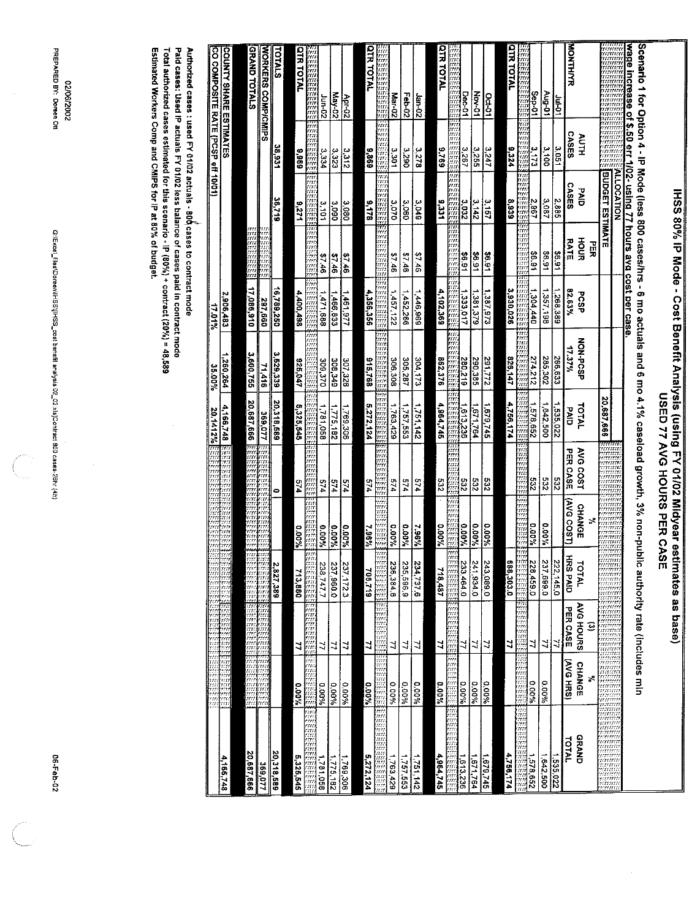|                                                                                                                                                                                         |                   |                                   |                     |                       | IHSS 80% IP Mode - Cost Benefit Analysis (using FY 01/02 Midyear esti |               |                      | USED 77 AVG HOURS PER CAS  | ш                                        | mates as base)                                                                                                                                                                                                                                                                                                                                                                                                                                                     |                   |                                                                                                                                     |
|-----------------------------------------------------------------------------------------------------------------------------------------------------------------------------------------|-------------------|-----------------------------------|---------------------|-----------------------|-----------------------------------------------------------------------|---------------|----------------------|----------------------------|------------------------------------------|--------------------------------------------------------------------------------------------------------------------------------------------------------------------------------------------------------------------------------------------------------------------------------------------------------------------------------------------------------------------------------------------------------------------------------------------------------------------|-------------------|-------------------------------------------------------------------------------------------------------------------------------------|
| Scenario 1 for Option 4 - IP Mode (less 800 cases) and a cuals and 6 mo a 4.1% caseload growth, 3% chario in publi<br>wage increase of \$.50 err 1/02- using 77 hours avg cost per case |                   |                                   |                     |                       |                                                                       |               |                      |                            |                                          | c authority rate (includes min                                                                                                                                                                                                                                                                                                                                                                                                                                     |                   |                                                                                                                                     |
|                                                                                                                                                                                         |                   | <b>MALOCATION</b><br>Espluogation |                     |                       |                                                                       |               |                      |                            |                                          |                                                                                                                                                                                                                                                                                                                                                                                                                                                                    |                   |                                                                                                                                     |
|                                                                                                                                                                                         |                   | <b>BUDGET ESTIMATE</b>            |                     |                       |                                                                       | 20,687,666    |                      |                            |                                          | $\begin{array}{l} \mathit{return} \mathit{if} \mathit{if} \mathit{if} \mathit{if} \mathit{if} \mathit{if} \mathit{if} \mathit{if} \mathit{if} \mathit{if} \mathit{if} \mathit{if} \mathit{if} \mathit{if} \mathit{if} \mathit{if} \mathit{if} \mathit{if} \mathit{if} \mathit{if} \mathit{if} \mathit{if} \mathit{if} \mathit{if} \mathit{if} \mathit{if} \mathit{if} \mathit{if} \mathit{if} \mathit{if} \mathit{if} \mathit{if} \mathit{if} \mathit{if} \mathit$ | rennen<br>iinnaa  | rrerr<br>- PERSONAL<br>- PERSONAL<br>- PERSONAL<br>- PERSONAL<br>- PERSONAL<br>- PERSONAL<br>- PERSONAL<br>www.<br>aana<br>ittititi |
|                                                                                                                                                                                         |                   |                                   | 굕                   |                       |                                                                       |               |                      | $\mathbf{x}$               |                                          | $\widehat{\boldsymbol{\omega}}$                                                                                                                                                                                                                                                                                                                                                                                                                                    | $\mathbf{r}$      |                                                                                                                                     |
| MONTHATR                                                                                                                                                                                | CASES<br>AUTH     | <b>CASES</b><br>u AlD             | HOUR<br><b>RATE</b> | 82.63%<br><b>PCSP</b> | NON-PCSP<br>17.37%                                                    | TOTAL<br>DAID | AVG COST<br>PER CASE | NVG COST)<br><b>CHANGE</b> | <b>HRSPAID</b><br>TOTAL                  | AVG HOURS<br>PER CASE                                                                                                                                                                                                                                                                                                                                                                                                                                              | AVGHRS)<br>CHANGE | <b>GRAND</b><br><b>TAL</b>                                                                                                          |
| <b>Jul-01</b>                                                                                                                                                                           | 3.051             | 2,885                             | \$6.91              | 1,268,389             | 266,633                                                               | 1,535.022     | ZES <sub></sub>      |                            | 22,145.0                                 | 71                                                                                                                                                                                                                                                                                                                                                                                                                                                                 |                   | 1.535,022                                                                                                                           |
| $10 - 61$                                                                                                                                                                               | 2,100             | 3,087                             | 16.9\$              | 1357,198              | 285,302                                                               | 1,642.500     | 232                  | %00°                       | 237,699.0                                | 11                                                                                                                                                                                                                                                                                                                                                                                                                                                                 | 9600.0            | 1 642,500                                                                                                                           |
| Sep-01                                                                                                                                                                                  | $\frac{2}{3}$ 1/3 | 2,967                             | 16.9\$              | 304,440               | 274,212                                                               | 1,578.652     | 283                  | %00°0                      | 228.459.0                                | ₹                                                                                                                                                                                                                                                                                                                                                                                                                                                                  | 0.00%             | 578,652                                                                                                                             |
|                                                                                                                                                                                         |                   |                                   |                     |                       |                                                                       |               |                      |                            |                                          |                                                                                                                                                                                                                                                                                                                                                                                                                                                                    |                   |                                                                                                                                     |
| <b>QTR TOTAL</b>                                                                                                                                                                        | 9.324             | 8,939                             |                     | 3,930,026             | 826,147                                                               | 4,756 174     |                      |                            | 88,303.0                                 | 77                                                                                                                                                                                                                                                                                                                                                                                                                                                                 |                   | 4,756,174                                                                                                                           |
| Dd-01                                                                                                                                                                                   | 3.247             | $312-$                            | \$6.91              | 1.387,973             | 241,772                                                               | 1.879,745     | $rac{53}{5}$         | 9,00%                      | $\frac{43,089.0}{2}$                     | N                                                                                                                                                                                                                                                                                                                                                                                                                                                                  | 0.00%             | 1.679,745                                                                                                                           |
| Nov-01                                                                                                                                                                                  | 3,255             | $\frac{3}{142}$                   | \$6.91              | 381,379               | 290,385                                                               | 1,671,764     | 283                  | 0.00%                      | 0'7G L7                                  | 77                                                                                                                                                                                                                                                                                                                                                                                                                                                                 | 0.00%             | 127.784                                                                                                                             |
| <b>Dec-01</b>                                                                                                                                                                           | 3.267             | 3032                              | 16.9\$              | 333,017               | 280,219                                                               | 1,613,236     | 289                  | %00°N                      | 33,464.0                                 | ₹                                                                                                                                                                                                                                                                                                                                                                                                                                                                  | %00°0             | 613,236                                                                                                                             |
|                                                                                                                                                                                         |                   |                                   |                     |                       |                                                                       |               |                      |                            |                                          | mi                                                                                                                                                                                                                                                                                                                                                                                                                                                                 |                   |                                                                                                                                     |
| <b>QTR TOTAL</b>                                                                                                                                                                        | 6926              | 9,331                             |                     | 4,102,369             | 862,376                                                               | 4,964,745     | SSC.                 | 7,00°C                     | 718,487                                  | Z,                                                                                                                                                                                                                                                                                                                                                                                                                                                                 | 0.00%             | 4,964,745                                                                                                                           |
| $\frac{1}{20}$                                                                                                                                                                          | 3,278             | 3.049                             | \$7.46              | 1,446,969             | 304,173                                                               | 1,751,142     | 574                  | 7.96%                      | 24,737.6                                 | 4                                                                                                                                                                                                                                                                                                                                                                                                                                                                  | 96000             | 1,751,142                                                                                                                           |
| Feb-02                                                                                                                                                                                  | <b>OBZ'S</b>      | 3,060                             | \$7.46              | 452,266               | 305,287                                                               | 1,757,553     | 274                  | $0.00\%$                   | 235,596.9                                | $\overline{z}$                                                                                                                                                                                                                                                                                                                                                                                                                                                     | 0.00%             | 757,553                                                                                                                             |
| Mar-02                                                                                                                                                                                  | 3.301             | 3070                              | \$7.46              | 1,457,122             | 306,308                                                               | 1,763,429     | 574                  | %00°0                      | 26,384.6                                 | 4                                                                                                                                                                                                                                                                                                                                                                                                                                                                  | 9600'0            | 763,429                                                                                                                             |
|                                                                                                                                                                                         |                   |                                   |                     |                       |                                                                       |               |                      |                            | $\mathfrak{f}^n_{\mathcal{G}^n}$         | yere<br>Yere<br>Yere                                                                                                                                                                                                                                                                                                                                                                                                                                               |                   | rm                                                                                                                                  |
| <b>QTR TOTAL</b>                                                                                                                                                                        | 698'6             | 8.178                             |                     | 4,356,356             | 815,768                                                               | 5,272,124     | 9/3                  | 7967                       | 706,719                                  | $\mathbf{z}$                                                                                                                                                                                                                                                                                                                                                                                                                                                       | 0.00%             | 5,272,124                                                                                                                           |
| $Apr-02$                                                                                                                                                                                | 3.312             | 3080                              | \$7.46              | 161,977               | 307,328                                                               | 1,769,306     | 125                  | <b>00%</b>                 | 237,172.3                                | ₹                                                                                                                                                                                                                                                                                                                                                                                                                                                                  | 9,00%             | 1,769,306                                                                                                                           |
| May-02                                                                                                                                                                                  | 3.323             | 060°C                             | 37.46               | 466,833               | 308,349                                                               | 775,182       | 2.14                 | %000                       | 237,960.0                                | 7                                                                                                                                                                                                                                                                                                                                                                                                                                                                  | 96000             | .775, 182                                                                                                                           |
| 들<br>13년                                                                                                                                                                                | 3,334             | 3.101                             | $3 + 10$            | 1,471.688             | 309,370                                                               | 781,058       | 574                  | %00°0                      | 238,747.7                                | ₹                                                                                                                                                                                                                                                                                                                                                                                                                                                                  | %00'0             | 1,781,058                                                                                                                           |
|                                                                                                                                                                                         | mi<br>mi<br>mi    |                                   |                     |                       |                                                                       |               | erre<br>Fra          |                            |                                          |                                                                                                                                                                                                                                                                                                                                                                                                                                                                    | ini<br>Ini        | m<br>ree<br>Int<br>Int                                                                                                              |
| <b>QTR TOTAL</b>                                                                                                                                                                        | 696'6             | 9.271                             |                     | 4,400,498             | 925,047                                                               | 5,325,545     | 2/4                  | 0.00%                      | 713,880                                  | 4                                                                                                                                                                                                                                                                                                                                                                                                                                                                  | 0.00%             | 5,325,545                                                                                                                           |
| <b>TOTALS</b>                                                                                                                                                                           | 38,931            | 36,719                            |                     | 16,789,250            | 3.529,339                                                             | 20,318,589    | ۰                    |                            | 2,827,389                                |                                                                                                                                                                                                                                                                                                                                                                                                                                                                    |                   | 20,318,589                                                                                                                          |
| <b>WORKERS COMP/CMIPS</b>                                                                                                                                                               |                   |                                   |                     | 297,660               | 71,416                                                                | 369,077       |                      |                            |                                          |                                                                                                                                                                                                                                                                                                                                                                                                                                                                    |                   | 369,077                                                                                                                             |
| GRAND TOTALS                                                                                                                                                                            |                   |                                   | m                   | 17,086,910            | 3.600,755                                                             | 20,687,666    |                      |                            | ימוד<br>האירויות<br>האירויות<br>האירויות | rm<br>rrrr                                                                                                                                                                                                                                                                                                                                                                                                                                                         | nn e              | 20,687,666                                                                                                                          |
| <b>COUNTY SHARE ESTIMATES</b>                                                                                                                                                           |                   |                                   |                     | 2,906,483             | 1,260,264                                                             | 4,166,748     | TM f                 |                            |                                          | $\ddagger$<br>đay<br>Prvi                                                                                                                                                                                                                                                                                                                                                                                                                                          | ni)<br>119        | 4,166,748                                                                                                                           |
| CO COMPOSITE RATE (PCSP eff 10/01)                                                                                                                                                      |                   |                                   |                     | 2.0071                | 35.00%                                                                | 20.1412%      |                      |                            | ennan<br>ennan                           |                                                                                                                                                                                                                                                                                                                                                                                                                                                                    |                   |                                                                                                                                     |
| Authorized cases : used FY 01/02 actuals - 800 cases to contract mode                                                                                                                   |                   |                                   |                     |                       |                                                                       |               |                      |                            |                                          |                                                                                                                                                                                                                                                                                                                                                                                                                                                                    |                   |                                                                                                                                     |
| Paid cases: Used IP actuals FY 01/02 less balance of cases paid in contract mode                                                                                                        |                   |                                   |                     |                       |                                                                       |               |                      |                            |                                          |                                                                                                                                                                                                                                                                                                                                                                                                                                                                    |                   |                                                                                                                                     |

ý,

Total authorized cases estimated for this scenario - IP (80%) + contract (20%) = 48,589<br>Estimated Workers Comp and CMIPS for IP at 80% of budget.

02/06/2002<br>PREPARED BY: Doresn Otl

G:\Excel\_files\Doreen\IHSS\INSS\_cost benefit analysis 02\_02.xisjContract 800 cases-26hr (4b)

 $\binom{2}{1}$ 

06-Feb-02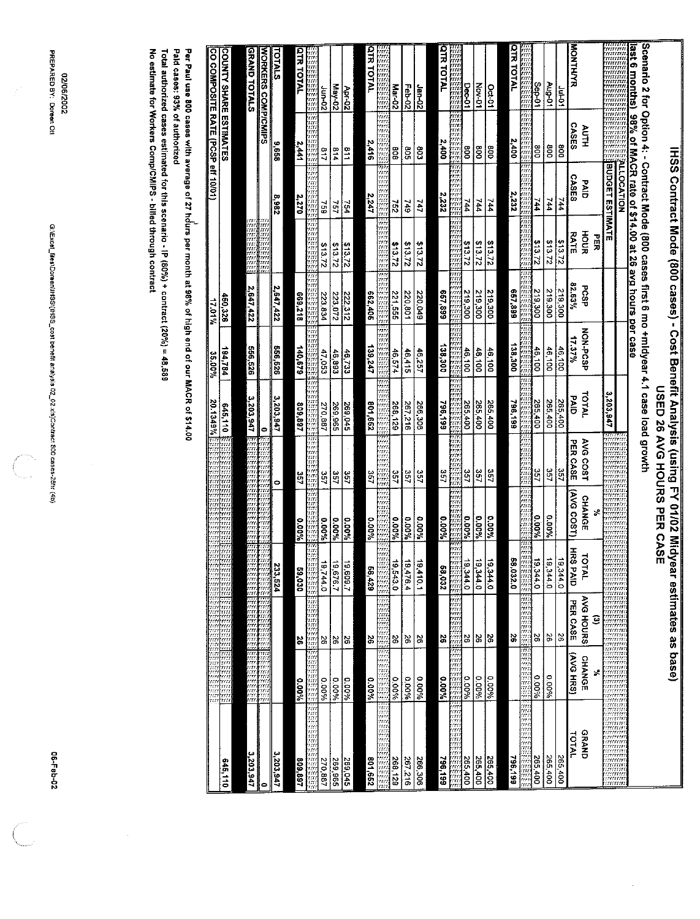| Scenario 2 for Option 4: - Contract Mode (800 cases first 6 mo +midyear 4.1 case load growth<br>last 6 months). 98% of MACR rate of \$14.00 at 26 avg hours per case |                          |                        |                            |                       |                           |                    |                             |                      |                             |                                               |                                                                                                                                                        |                                                                |
|----------------------------------------------------------------------------------------------------------------------------------------------------------------------|--------------------------|------------------------|----------------------------|-----------------------|---------------------------|--------------------|-----------------------------|----------------------|-----------------------------|-----------------------------------------------|--------------------------------------------------------------------------------------------------------------------------------------------------------|----------------------------------------------------------------|
|                                                                                                                                                                      |                          | <b>ALLOCATION</b>      |                            |                       |                           |                    | naa<br>naa<br>rrrer<br>TH.  | ,,,,,                |                             |                                               |                                                                                                                                                        |                                                                |
|                                                                                                                                                                      |                          | <b>BUDGET ESTIMATE</b> |                            |                       |                           | 3,203,947          | nom<br>Som<br>Som<br>Som    |                      |                             |                                               | FRIMME<br>FRIMMENT<br>FRIMMENT<br>FRIMMENT<br>FRIMMENT<br>FRIMMENT<br>FRIMMENT<br>FRIMMENT<br>FRIMMENT<br>FRIMMENT<br>FRIMMENT<br>FRIMMENT<br>FRIMMENT | ererrrr<br>enerin<br>taaraan<br>nama<br>annon                  |
|                                                                                                                                                                      |                          |                        | 品                          |                       |                           |                    |                             | ř,                   |                             | $\mathbf{G}$                                  | š                                                                                                                                                      |                                                                |
| <b>MONTHIYR</b>                                                                                                                                                      | <b>CASES</b><br>AUTH     | <b>CASES</b><br>DAID   | <b>HOUR</b><br><b>RATE</b> | 82.63%<br><b>PCSP</b> | <b>NON-PCSP</b><br>17.37% | TOTAL<br>PAID<br>O | AVG COST<br><b>PER CASE</b> | (AVG COST)<br>CHANGE | 末83<br>TOTAL<br><b>DAID</b> | AVG HOURS<br>PER CASE                         | (AVG HRS)<br><b>CHANGE</b>                                                                                                                             | <b>GRAND</b><br><b>TOTAL</b>                                   |
| $\frac{10}{10}$                                                                                                                                                      | g                        | $+ - 2$                | \$13.72                    | 219,300               | $\frac{46.100}{ }$        | 265,400            | $\frac{351}{2}$             |                      | 19,344.0                    | ప                                             |                                                                                                                                                        | 265,400                                                        |
| $\frac{10-6\pi}{5}$                                                                                                                                                  | g                        | 744                    | \$13.72                    | 219,300               | 60,100                    | 265,400            | 557                         | %00'0                | 19,344.0                    | 5                                             | 9,000                                                                                                                                                  | 265,400                                                        |
| Sep-01                                                                                                                                                               | g                        | 744                    | 21.28                      | 219,300               | de, 100                   | 265,400            | ğ                           | 9,000                | ø<br>344.0                  | 9                                             | 0.00%                                                                                                                                                  | 265,400                                                        |
| <b>BEESES</b>                                                                                                                                                        | m                        |                        | m                          |                       |                           |                    |                             |                      |                             | na<br>ma<br>rrrr<br>rrrr                      | na.<br>M<br>n.<br>erri<br>in 1993<br>See See See See<br>See See See See                                                                                |                                                                |
| <b>QTR TOTAL</b>                                                                                                                                                     | 2,400                    | 2,232                  |                            | 668.799               | 138.300                   | 796,199            |                             |                      | gg<br>0.220                 | S,                                            |                                                                                                                                                        | 796,199                                                        |
|                                                                                                                                                                      |                          |                        |                            |                       |                           |                    |                             |                      |                             |                                               |                                                                                                                                                        |                                                                |
| Oct-01                                                                                                                                                               | goo                      | 144                    | \$13.72                    | 219,300               | 46,100                    | 265,400            | 357                         | 0.00%                | $\frac{1}{9}$<br>344.0      | 92                                            | 0.00%                                                                                                                                                  | 265,400                                                        |
| <b>Nov-01</b>                                                                                                                                                        | ğ                        | 444                    | \$13.72                    | 219,300               | 46,100                    | 265,400            | 357                         | 0.00%                | 19,344.0                    | 95                                            | 0.00%                                                                                                                                                  | 265,400                                                        |
| <b>Dec-01</b>                                                                                                                                                        | ē                        | 744                    | \$13.72                    | 219,300               | 46,100                    | 265,400            | 357                         | 0.00%                | 19,344.0                    | S,                                            | 9600.0                                                                                                                                                 | 265,400                                                        |
| in 1999.<br>Particles                                                                                                                                                | reer<br>Ferr             |                        |                            |                       |                           |                    |                             |                      |                             | nan<br>Fran<br>inii<br>Mu                     | rico<br>Fritz<br>Fritz                                                                                                                                 | Ÿ.                                                             |
| <b>QTR TOTAL</b>                                                                                                                                                     | 2,400                    | 2222                   |                            | 662,899               | 138,300                   | 196,199            | 357                         | 0.00%                | 58,032                      | S,                                            | $0.00\%$                                                                                                                                               | 796,199                                                        |
| Jan-02                                                                                                                                                               | 803                      | $L + L$                | \$13.72                    | 220,049               | 46.257                    | 266,306            | 357                         | %00°0                | 19,410.1                    | 9                                             | 0.00%                                                                                                                                                  | 266,306                                                        |
| Feb-02                                                                                                                                                               | 508                      | 61/                    | \$13.72                    | 220,801               | 46,415                    | 912'32             | 357                         | %00°0                | $\vec{5}$<br>4/6.4          | ν                                             | 0.00%                                                                                                                                                  | 36,216                                                         |
| Mar-02                                                                                                                                                               | 808                      | 297                    | 213.22                     | 599122                | 46,574                    | 268,129            | 357                         | %00°0                | $\vec{\omega}$<br>543.0     | S,                                            | 9600'0                                                                                                                                                 | 268,129                                                        |
|                                                                                                                                                                      |                          |                        | <b>REESES</b>              |                       |                           |                    |                             |                      |                             | erer.<br>Frem                                 | is a a an                                                                                                                                              | TH.<br>in.<br>Si<br>erre<br>Yrr                                |
| <b>QTR TOTAL</b>                                                                                                                                                     | 2,416                    | 2,247                  |                            | 662,405               | 139,247                   | 801,652            | 357                         | 0.00%                | 62789                       | Ğ,                                            | 0.00%                                                                                                                                                  | 299'08                                                         |
| Apr-02                                                                                                                                                               | 118                      | 754                    | \$13.72                    | 22.312                | 46,733                    | 269,045            | 757                         | 1,000                | 19,609.7                    | ွ                                             | 96000                                                                                                                                                  | 269,045                                                        |
| May-02                                                                                                                                                               | $\frac{1}{2}$            | 757                    | $2 + 3 + 2$                | 223, 072              | 46,893                    | 596'692            | 357                         | 9600'0               | $\vec{5}$<br>576.7          | ৯                                             | 96000                                                                                                                                                  | 596'692                                                        |
| 70-un                                                                                                                                                                | $\frac{1}{2}$            | GS <sub>1</sub>        | \$13.72                    | 223,834               | 47,053                    | 270,887            | 152                         | 7,000                | $\vec{a}$<br>0.144.7        | <b>B</b>                                      | 96000                                                                                                                                                  | 270,887                                                        |
|                                                                                                                                                                      | יות<br>תור<br>תור<br>תור | ini<br>1111<br>1111    | nir<br>ne                  |                       |                           |                    | im<br>Tin<br>Tin            |                      | um<br>um                    | arr<br>arr<br>ini<br>Tiri<br>in<br>Ind<br>Ind | ilin<br>Vin<br>Vin<br>Vin                                                                                                                              | nr<br>m<br>m<br>zer.<br>m<br>na<br>ma<br>m<br>in<br>The<br>The |
| <b>QTR TOTAL</b>                                                                                                                                                     | 2,441                    | 2,270                  |                            | 669,218               | 140,679                   | 168'608            | 357                         | <b>0.00%</b>         | 59,030                      | ő                                             | 0.00%                                                                                                                                                  | 209,897                                                        |
| <b>TOTALS</b>                                                                                                                                                        | 89'6                     | 8,982                  |                            | 2,647,422             | 979'999                   | 3,203,947          | 0                           |                      | N<br>33,524                 |                                               |                                                                                                                                                        | 3,203,947                                                      |
| <b>WORKERS COMP/CMIPS</b>                                                                                                                                            |                          |                        |                            |                       |                           | 0                  |                             |                      |                             |                                               |                                                                                                                                                        |                                                                |
| GRAND TOTALS                                                                                                                                                         |                          |                        | rss.                       | 2,647,422             | 556,526                   | 3.203,947          |                             |                      |                             |                                               |                                                                                                                                                        | 3 203,947                                                      |
| <b>COUNTY SHARE ESTIMATES</b>                                                                                                                                        |                          |                        |                            | 450,326               | 194,784                   | 645,110            |                             |                      | erre                        |                                               | hm.<br>trrr.                                                                                                                                           | 645,110                                                        |
| CO COMPOSITE RATE (PCSP eff 10/01)                                                                                                                                   |                          |                        |                            | $17.01\%$             | 35.00%                    | 20.1349%           |                             |                      |                             |                                               |                                                                                                                                                        |                                                                |

 $\ddot{\phantom{0}}$ 

02/06/2002<br>PREPARED BY: Dor<del>oa</del>n Otl

G:\Excel\_files\Doreen\IHSS\[IHSS\_cost benefit analysis 02\_02.xis)Contract 800 cases-26hr (4b)

 $\frac{1}{2}$ 

06-Feb-02